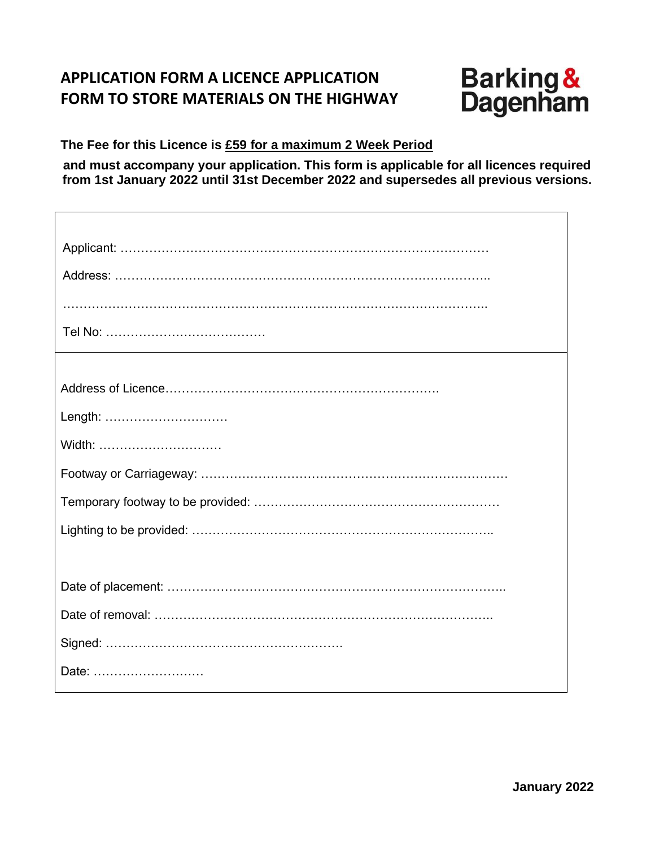# **APPLICATION FORM A LICENCE APPLICATION FORM TO STORE MATERIALS ON THE HIGHWAY**



٦

**The Fee for this Licence is £59 for a maximum 2 Week Period**

**and must accompany your application. This form is applicable for all licences required from 1st January 2022 until 31st December 2022 and supersedes all previous versions.**

| Length: |
|---------|
| Width:  |
|         |
|         |
|         |
|         |
|         |
|         |
|         |
|         |